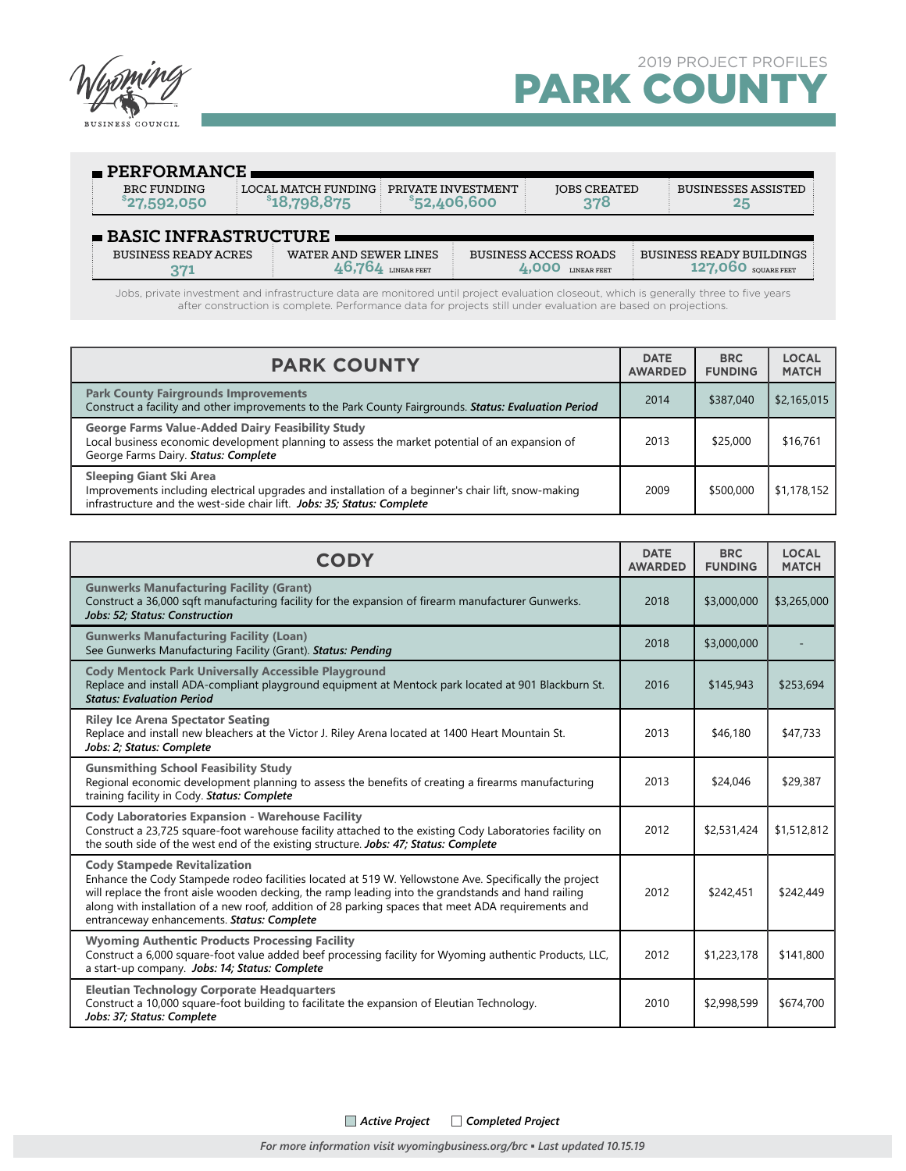

| $\blacksquare$ PERFORMANCE                 |                                       |                                    |                                                    |                     |                                 |  |  |
|--------------------------------------------|---------------------------------------|------------------------------------|----------------------------------------------------|---------------------|---------------------------------|--|--|
| <b>BRC FUNDING</b><br>$^{\circ}27,592,050$ | LOCAL MATCH FUNDING :<br>\$18,798,875 | PRIVATE INVESTMENT<br>\$52,406,600 |                                                    | <b>JOBS CREATED</b> | <b>BUSINESSES ASSISTED</b>      |  |  |
| $\blacksquare$ BASIC INFRASTRUCTURE        |                                       |                                    |                                                    |                     |                                 |  |  |
| <b>BUSINESS READY ACRES</b>                | WATER AND SEWER LINES                 | LINEAR FEET                        | <b>BUSINESS ACCESS ROADS</b><br><b>LINEAR FEET</b> |                     | <b>BUSINESS READY BUILDINGS</b> |  |  |

Jobs, private investment and infrastructure data are monitored until project evaluation closeout, which is generally three to five years after construction is complete. Performance data for projects still under evaluation are based on projections.

| <b>PARK COUNTY</b>                                                                                                                                                                                        | <b>DATE</b><br><b>AWARDED</b> | <b>BRC</b><br><b>FUNDING</b> | <b>LOCAL</b><br><b>MATCH</b> |
|-----------------------------------------------------------------------------------------------------------------------------------------------------------------------------------------------------------|-------------------------------|------------------------------|------------------------------|
| <b>Park County Fairgrounds Improvements</b><br>Construct a facility and other improvements to the Park County Fairgrounds. Status: Evaluation Period                                                      | 2014                          | \$387.040                    | \$2,165,015                  |
| <b>George Farms Value-Added Dairy Feasibility Study</b><br>Local business economic development planning to assess the market potential of an expansion of<br>George Farms Dairy. Status: Complete         | 2013                          | \$25,000                     | \$16,761                     |
| Sleeping Giant Ski Area<br>Improvements including electrical upgrades and installation of a beginner's chair lift, snow-making<br>infrastructure and the west-side chair lift. Jobs: 35; Status: Complete | 2009                          | \$500,000                    | \$1,178,152                  |

| <b>CODY</b>                                                                                                                                                                                                                                                                                                                                                                                               | <b>DATE</b><br><b>AWARDED</b> | <b>BRC</b><br><b>FUNDING</b> | <b>LOCAL</b><br><b>MATCH</b> |
|-----------------------------------------------------------------------------------------------------------------------------------------------------------------------------------------------------------------------------------------------------------------------------------------------------------------------------------------------------------------------------------------------------------|-------------------------------|------------------------------|------------------------------|
| <b>Gunwerks Manufacturing Facility (Grant)</b><br>Construct a 36,000 sqft manufacturing facility for the expansion of firearm manufacturer Gunwerks.<br>Jobs: 52: Status: Construction                                                                                                                                                                                                                    | 2018                          | \$3,000,000                  | \$3,265,000                  |
| <b>Gunwerks Manufacturing Facility (Loan)</b><br>See Gunwerks Manufacturing Facility (Grant). Status: Pending                                                                                                                                                                                                                                                                                             | 2018                          | \$3,000,000                  |                              |
| <b>Cody Mentock Park Universally Accessible Playground</b><br>Replace and install ADA-compliant playground equipment at Mentock park located at 901 Blackburn St.<br><b>Status: Evaluation Period</b>                                                                                                                                                                                                     | 2016                          | \$145,943                    | \$253,694                    |
| <b>Riley Ice Arena Spectator Seating</b><br>Replace and install new bleachers at the Victor J. Riley Arena located at 1400 Heart Mountain St.<br>Jobs: 2; Status: Complete                                                                                                                                                                                                                                | 2013                          | \$46,180                     | \$47,733                     |
| <b>Gunsmithing School Feasibility Study</b><br>Regional economic development planning to assess the benefits of creating a firearms manufacturing<br>training facility in Cody. Status: Complete                                                                                                                                                                                                          | 2013                          | \$24,046                     | \$29,387                     |
| <b>Cody Laboratories Expansion - Warehouse Facility</b><br>Construct a 23,725 square-foot warehouse facility attached to the existing Cody Laboratories facility on<br>the south side of the west end of the existing structure. Jobs: 47; Status: Complete                                                                                                                                               | 2012                          | \$2,531,424                  | \$1,512,812                  |
| <b>Cody Stampede Revitalization</b><br>Enhance the Cody Stampede rodeo facilities located at 519 W. Yellowstone Ave. Specifically the project<br>will replace the front aisle wooden decking, the ramp leading into the grandstands and hand railing<br>along with installation of a new roof, addition of 28 parking spaces that meet ADA requirements and<br>entranceway enhancements. Status: Complete | 2012                          | \$242,451                    | \$242,449                    |
| <b>Wyoming Authentic Products Processing Facility</b><br>Construct a 6,000 square-foot value added beef processing facility for Wyoming authentic Products, LLC,<br>a start-up company. Jobs: 14; Status: Complete                                                                                                                                                                                        | 2012                          | \$1,223,178                  | \$141,800                    |
| <b>Eleutian Technology Corporate Headquarters</b><br>Construct a 10,000 square-foot building to facilitate the expansion of Eleutian Technology.<br>Jobs: 37; Status: Complete                                                                                                                                                                                                                            | 2010                          | \$2,998,599                  | \$674,700                    |